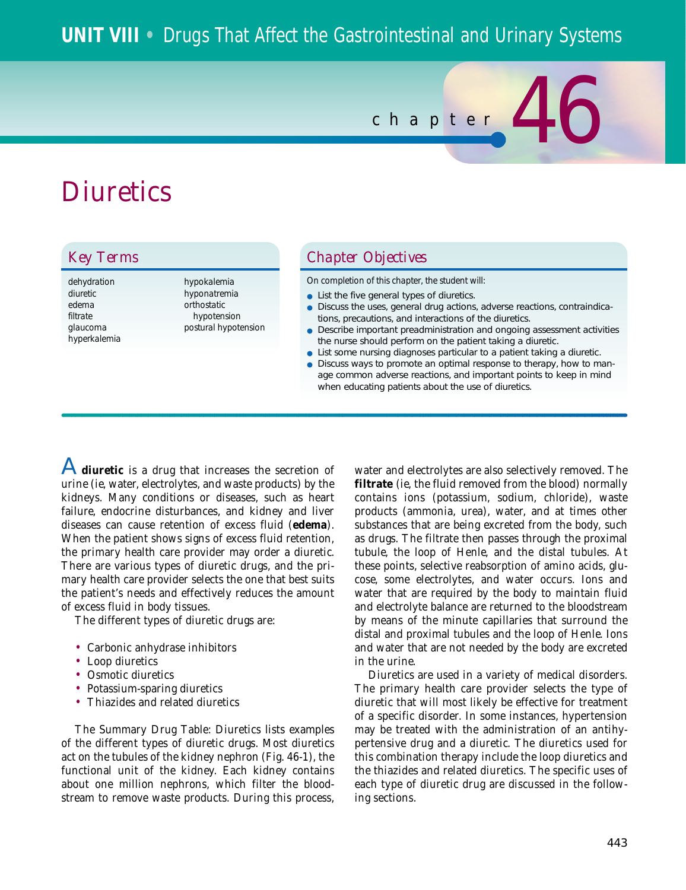# **UNIT VIII •** Drugs That Affect the Gastrointestinal and Urinary Systems

# **Diuretics**

*dehydration diuretic edema filtrate glaucoma hyperkalemia* *hypokalemia hyponatremia orthostatic hypotension postural hypotension*

# *Key Terms Chapter Objectives*

*On completion of this chapter, the student will:*

- List the five general types of diuretics.
- Discuss the uses, general drug actions, adverse reactions, contraindications, precautions, and interactions of the diuretics.

*chapter* 

- Describe important preadministration and ongoing assessment activities the nurse should perform on the patient taking a diuretic.
- List some nursing diagnoses particular to a patient taking a diuretic.
- Discuss ways to promote an optimal response to therapy, how to manage common adverse reactions, and important points to keep in mind when educating patients about the use of diuretics.

A **diuretic** is a drug that increases the secretion of urine (ie, water, electrolytes, and waste products) by the kidneys. Many conditions or diseases, such as heart failure, endocrine disturbances, and kidney and liver diseases can cause retention of excess fluid (**edema**). When the patient shows signs of excess fluid retention, the primary health care provider may order a diuretic. There are various types of diuretic drugs, and the primary health care provider selects the one that best suits the patient's needs and effectively reduces the amount of excess fluid in body tissues.

The different types of diuretic drugs are:

- Carbonic anhydrase inhibitors
- Loop diuretics
- Osmotic diuretics
- Potassium-sparing diuretics
- Thiazides and related diuretics

The Summary Drug Table: Diuretics lists examples of the different types of diuretic drugs. Most diuretics act on the tubules of the kidney nephron (Fig. 46-1), the functional unit of the kidney. Each kidney contains about one million nephrons, which filter the bloodstream to remove waste products. During this process,

water and electrolytes are also selectively removed. The **filtrate** (ie, the fluid removed from the blood) normally contains ions (potassium, sodium, chloride), waste products (ammonia, urea), water, and at times other substances that are being excreted from the body, such as drugs. The filtrate then passes through the proximal tubule, the loop of Henle, and the distal tubules. At these points, selective reabsorption of amino acids, glucose, some electrolytes, and water occurs. Ions and water that are required by the body to maintain fluid and electrolyte balance are returned to the bloodstream by means of the minute capillaries that surround the distal and proximal tubules and the loop of Henle. Ions and water that are not needed by the body are excreted in the urine.

Diuretics are used in a variety of medical disorders. The primary health care provider selects the type of diuretic that will most likely be effective for treatment of a specific disorder. In some instances, hypertension may be treated with the administration of an antihypertensive drug and a diuretic. The diuretics used for this combination therapy include the loop diuretics and the thiazides and related diuretics. The specific uses of each type of diuretic drug are discussed in the following sections.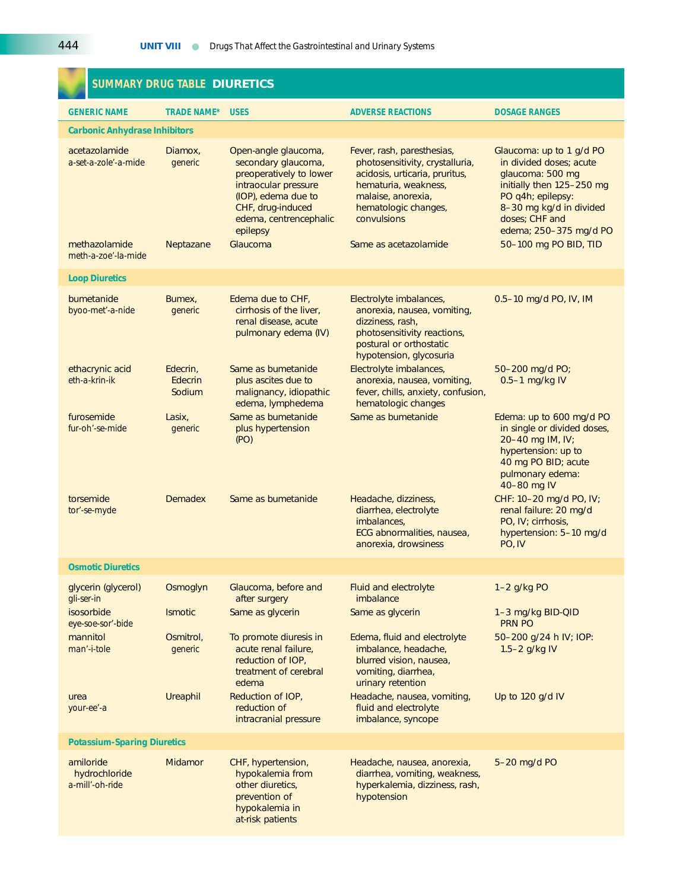| <b>SUMMARY DRUG TABLE DIURETICS</b>                                           |                                 |                                                                                                                                                                                              |                                                                                                                                                                                                               |                                                                                                                                                                                                                           |  |  |
|-------------------------------------------------------------------------------|---------------------------------|----------------------------------------------------------------------------------------------------------------------------------------------------------------------------------------------|---------------------------------------------------------------------------------------------------------------------------------------------------------------------------------------------------------------|---------------------------------------------------------------------------------------------------------------------------------------------------------------------------------------------------------------------------|--|--|
| <b>GENERIC NAME</b>                                                           | <b>TRADE NAME*</b>              | <b>USES</b>                                                                                                                                                                                  | <b>ADVERSE REACTIONS</b>                                                                                                                                                                                      | <b>DOSAGE RANGES</b>                                                                                                                                                                                                      |  |  |
| <b>Carbonic Anhydrase Inhibitors</b>                                          |                                 |                                                                                                                                                                                              |                                                                                                                                                                                                               |                                                                                                                                                                                                                           |  |  |
| acetazolamide<br>a-set-a-zole'-a-mide<br>methazolamide<br>meth-a-zoe'-la-mide | Diamox,<br>generic<br>Neptazane | Open-angle glaucoma,<br>secondary glaucoma,<br>preoperatively to lower<br>intraocular pressure<br>(IOP), edema due to<br>CHF, drug-induced<br>edema, centrencephalic<br>epilepsy<br>Glaucoma | Fever, rash, paresthesias,<br>photosensitivity, crystalluria,<br>acidosis, urticaria, pruritus,<br>hematuria, weakness,<br>malaise, anorexia,<br>hematologic changes,<br>convulsions<br>Same as acetazolamide | Glaucoma: up to 1 g/d PO<br>in divided doses; acute<br>glaucoma: 500 mg<br>initially then 125-250 mg<br>PO q4h; epilepsy:<br>8-30 mg kg/d in divided<br>doses; CHF and<br>edema; 250-375 mg/d PO<br>50-100 mg PO BID, TID |  |  |
| <b>Loop Diuretics</b>                                                         |                                 |                                                                                                                                                                                              |                                                                                                                                                                                                               |                                                                                                                                                                                                                           |  |  |
| bumetanide<br>byoo-met'-a-nide                                                | Bumex,<br>generic               | Edema due to CHF,<br>cirrhosis of the liver,<br>renal disease, acute<br>pulmonary edema (IV)                                                                                                 | Electrolyte imbalances,<br>anorexia, nausea, vomiting,<br>dizziness, rash,<br>photosensitivity reactions,<br>postural or orthostatic<br>hypotension, glycosuria                                               | 0.5-10 mg/d PO, IV, IM                                                                                                                                                                                                    |  |  |
| ethacrynic acid<br>eth-a-krin-ik                                              | Edecrin,<br>Edecrin<br>Sodium   | Same as bumetanide<br>plus ascites due to<br>malignancy, idiopathic<br>edema, lymphedema                                                                                                     | Electrolyte imbalances,<br>anorexia, nausea, vomiting,<br>fever, chills, anxiety, confusion,<br>hematologic changes                                                                                           | 50-200 mg/d PO;<br>0.5-1 mg/kg IV                                                                                                                                                                                         |  |  |
| furosemide<br>fur-oh'-se-mide                                                 | Lasix,<br>generic               | Same as bumetanide<br>plus hypertension<br>(PO)                                                                                                                                              | Same as bumetanide                                                                                                                                                                                            | Edema: up to 600 mg/d PO<br>in single or divided doses,<br>20-40 mg IM, IV;<br>hypertension: up to<br>40 mg PO BID; acute<br>pulmonary edema:<br>40-80 mg IV                                                              |  |  |
| torsemide<br>tor'-se-myde                                                     | <b>Demadex</b>                  | Same as bumetanide                                                                                                                                                                           | Headache, dizziness,<br>diarrhea, electrolyte<br>imbalances,<br>ECG abnormalities, nausea,<br>anorexia, drowsiness                                                                                            | CHF: 10-20 mg/d PO, IV;<br>renal failure: 20 mg/d<br>PO, IV; cirrhosis,<br>hypertension: 5-10 mg/d<br>PO, IV                                                                                                              |  |  |
| <b>Osmotic Diuretics</b>                                                      |                                 |                                                                                                                                                                                              |                                                                                                                                                                                                               |                                                                                                                                                                                                                           |  |  |
| glycerin (glycerol)<br>gli-ser-in                                             | Osmoglyn                        | Glaucoma, before and<br>after surgery                                                                                                                                                        | <b>Fluid and electrolyte</b><br>imbalance                                                                                                                                                                     | $1-2$ g/kg PO                                                                                                                                                                                                             |  |  |
| isosorbide<br>eye-soe-sor'-bide                                               | <b>Ismotic</b>                  | Same as glycerin                                                                                                                                                                             | Same as glycerin                                                                                                                                                                                              | 1-3 mg/kg BID-QID<br><b>PRN PO</b>                                                                                                                                                                                        |  |  |
| mannitol<br>man'-i-tole                                                       | Osmitrol,<br>generic            | To promote diuresis in<br>acute renal failure,<br>reduction of IOP,<br>treatment of cerebral<br>edema                                                                                        | Edema, fluid and electrolyte<br>imbalance, headache,<br>blurred vision, nausea,<br>vomiting, diarrhea,<br>urinary retention                                                                                   | 50-200 g/24 h IV; IOP:<br>$1.5-2$ g/kg IV                                                                                                                                                                                 |  |  |
| urea<br>your-ee'-a                                                            | <b>Ureaphil</b>                 | Reduction of IOP,<br>reduction of<br>intracranial pressure                                                                                                                                   | Headache, nausea, vomiting,<br>fluid and electrolyte<br>imbalance, syncope                                                                                                                                    | Up to 120 g/d IV                                                                                                                                                                                                          |  |  |
| <b>Potassium-Sparing Diuretics</b>                                            |                                 |                                                                                                                                                                                              |                                                                                                                                                                                                               |                                                                                                                                                                                                                           |  |  |
| amiloride<br>hydrochloride<br>a-mill'-oh-ride                                 | <b>Midamor</b>                  | CHF, hypertension,<br>hypokalemia from<br>other diuretics,<br>prevention of<br>hypokalemia in<br>at-risk patients                                                                            | Headache, nausea, anorexia,<br>diarrhea, vomiting, weakness,<br>hyperkalemia, dizziness, rash,<br>hypotension                                                                                                 | 5-20 mg/d PO                                                                                                                                                                                                              |  |  |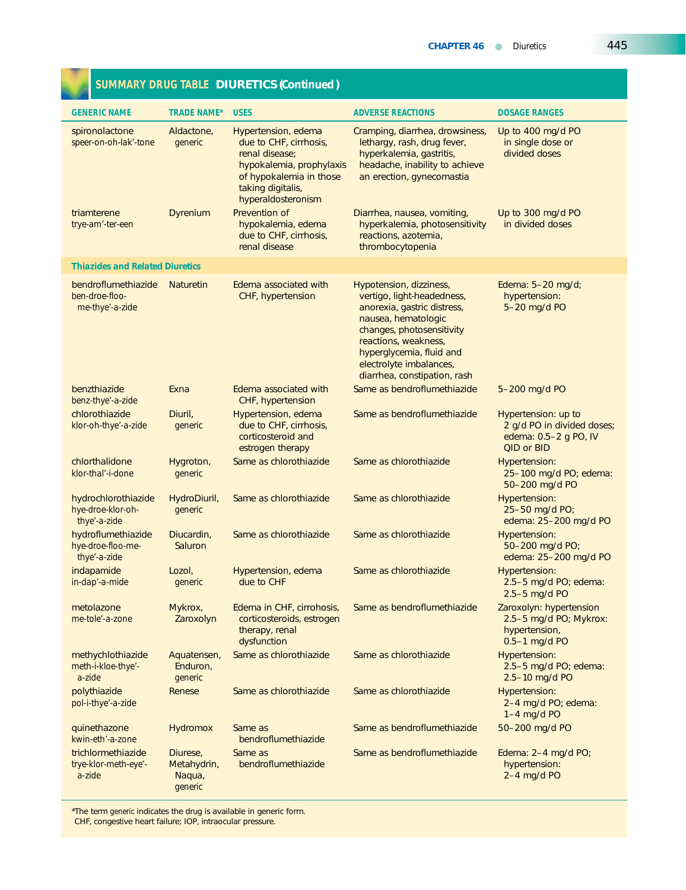# **SUMMARY DRUG TABLE DIURETICS (***Continued***)**

| <b>GENERIC NAME</b>                                      | <b>TRADE NAME*</b>                           | <b>USES</b>                                                                                                                                                       | <b>ADVERSE REACTIONS</b>                                                                                                                                                                                                                                | <b>DOSAGE RANGES</b>                                                                     |
|----------------------------------------------------------|----------------------------------------------|-------------------------------------------------------------------------------------------------------------------------------------------------------------------|---------------------------------------------------------------------------------------------------------------------------------------------------------------------------------------------------------------------------------------------------------|------------------------------------------------------------------------------------------|
| spironolactone<br>speer-on-oh-lak'-tone                  | Aldactone,<br>generic                        | Hypertension, edema<br>due to CHF, cirrhosis,<br>renal disease;<br>hypokalemia, prophylaxis<br>of hypokalemia in those<br>taking digitalis,<br>hyperaldosteronism | Cramping, diarrhea, drowsiness,<br>lethargy, rash, drug fever,<br>hyperkalemia, gastritis,<br>headache, inability to achieve<br>an erection, gynecomastia                                                                                               | Up to 400 mg/d PO<br>in single dose or<br>divided doses                                  |
| triamterene<br>trye-am'-ter-een                          | <b>Dyrenium</b>                              | Prevention of<br>hypokalemia, edema<br>due to CHF, cirrhosis,<br>renal disease                                                                                    | Diarrhea, nausea, vomiting,<br>hyperkalemia, photosensitivity<br>reactions, azotemia,<br>thrombocytopenia                                                                                                                                               | Up to 300 mg/d PO<br>in divided doses                                                    |
| <b>Thiazides and Related Diuretics</b>                   |                                              |                                                                                                                                                                   |                                                                                                                                                                                                                                                         |                                                                                          |
| bendroflumethiazide<br>ben-droe-floo-<br>me-thye'-a-zide | <b>Naturetin</b>                             | Edema associated with<br>CHF, hypertension                                                                                                                        | Hypotension, dizziness,<br>vertigo, light-headedness,<br>anorexia, gastric distress,<br>nausea, hematologic<br>changes, photosensitivity<br>reactions, weakness,<br>hyperglycemia, fluid and<br>electrolyte imbalances,<br>diarrhea, constipation, rash | Edema: 5-20 mg/d;<br>hypertension:<br>5-20 mg/d PO                                       |
| benzthiazide<br>benz-thye'-a-zide                        | Exna                                         | Edema associated with<br>CHF, hypertension                                                                                                                        | Same as bendroflumethiazide                                                                                                                                                                                                                             | 5-200 mg/d PO                                                                            |
| chlorothiazide<br>klor-oh-thye'-a-zide                   | Diuril,<br>generic                           | Hypertension, edema<br>due to CHF, cirrhosis,<br>corticosteroid and<br>estrogen therapy                                                                           | Same as bendroflumethiazide                                                                                                                                                                                                                             | Hypertension: up to<br>2 g/d PO in divided doses;<br>edema: 0.5-2 g PO, IV<br>QID or BID |
| chlorthalidone<br>klor-thal'-i-done                      | Hygroton,<br>generic                         | Same as chlorothiazide                                                                                                                                            | Same as chlorothiazide                                                                                                                                                                                                                                  | Hypertension:<br>25-100 mg/d PO; edema:<br>50-200 mg/d PO                                |
| hydrochlorothiazide<br>hye-droe-klor-oh-<br>thye'-a-zide | HydroDiuril,<br>generic                      | Same as chlorothiazide                                                                                                                                            | Same as chlorothiazide                                                                                                                                                                                                                                  | Hypertension:<br>25-50 mg/d PO;<br>edema: 25-200 mg/d PO                                 |
| hydroflumethiazide<br>hye-droe-floo-me-<br>thye'-a-zide  | Diucardin,<br>Saluron                        | Same as chlorothiazide                                                                                                                                            | Same as chlorothiazide                                                                                                                                                                                                                                  | Hypertension:<br>50-200 mg/d PO;<br>edema: 25-200 mg/d PO                                |
| indapamide<br>in-dap'-a-mide                             | Lozol,<br>generic                            | Hypertension, edema<br>due to CHF                                                                                                                                 | Same as chlorothiazide                                                                                                                                                                                                                                  | <b>Hypertension:</b><br>2.5-5 mg/d PO; edema:<br>2.5-5 mg/d PO                           |
| metolazone<br>me-tole'-a-zone                            | Mykrox,<br>Zaroxolyn                         | corticosteroids, estrogen<br>therapy, renal<br>dysfunction                                                                                                        | Edema in CHF, cirrohosis, Same as bendroflumethiazide                                                                                                                                                                                                   | Zaroxolyn: hypertension<br>2.5-5 mg/d PO; Mykrox:<br>hypertension,<br>0.5-1 mg/d PO      |
| methychlothiazide<br>meth-i-kloe-thye'-<br>a-zide        | Aquatensen,<br>Enduron,<br>generic           | Same as chlorothiazide                                                                                                                                            | Same as chlorothiazide                                                                                                                                                                                                                                  | Hypertension:<br>2.5-5 mg/d PO; edema:<br>2.5-10 mg/d PO                                 |
| polythiazide<br>pol-i-thye'-a-zide                       | Renese                                       | Same as chlorothiazide                                                                                                                                            | Same as chlorothiazide                                                                                                                                                                                                                                  | Hypertension:<br>2-4 mg/d PO; edema:<br>$1-4$ mg/d PO                                    |
| quinethazone<br>kwin-eth'-a-zone                         | <b>Hydromox</b>                              | Same as<br>bendroflumethiazide                                                                                                                                    | Same as bendroflumethiazide                                                                                                                                                                                                                             | 50-200 mg/d PO                                                                           |
| trichlormethiazide<br>trye-klor-meth-eye'-<br>a-zide     | Diurese,<br>Metahydrin,<br>Naqua,<br>generic | Same as<br>bendroflumethiazide                                                                                                                                    | Same as bendroflumethiazide                                                                                                                                                                                                                             | Edema: 2-4 mg/d PO;<br>hypertension:<br>$2-4$ mg/d PO                                    |

\*The term *generic* indicates the drug is available in generic form. CHF, congestive heart failure; IOP, intraocular pressure.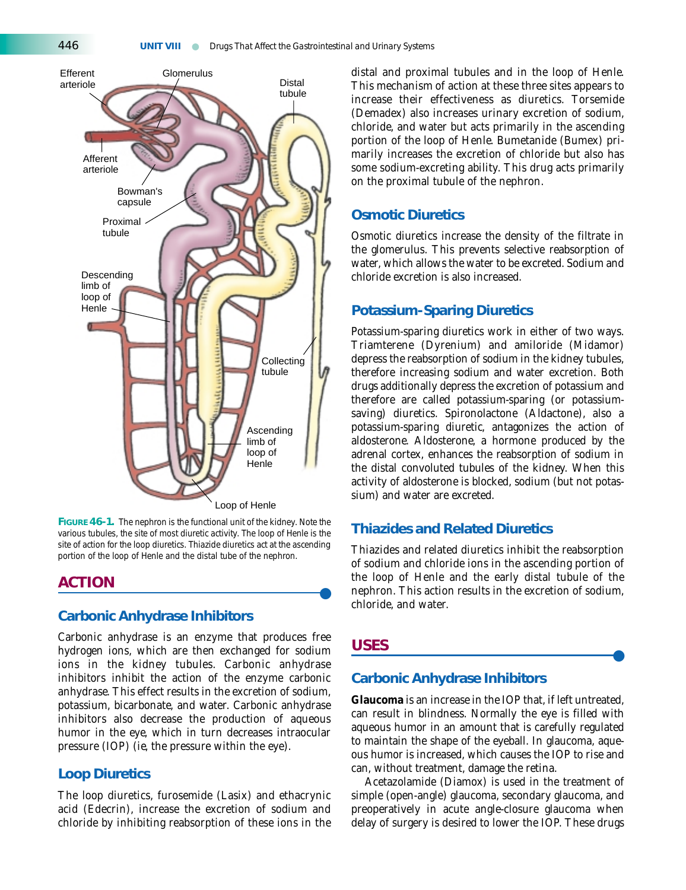

**FIGURE 46-1.** The nephron is the functional unit of the kidney. Note the various tubules, the site of most diuretic activity. The loop of Henle is the site of action for the loop diuretics. Thiazide diuretics act at the ascending portion of the loop of Henle and the distal tube of the nephron.

# **ACTION** ●

# **Carbonic Anhydrase Inhibitors**

Carbonic anhydrase is an enzyme that produces free hydrogen ions, which are then exchanged for sodium ions in the kidney tubules. Carbonic anhydrase inhibitors inhibit the action of the enzyme carbonic anhydrase. This effect results in the excretion of sodium, potassium, bicarbonate, and water. Carbonic anhydrase inhibitors also decrease the production of aqueous humor in the eye, which in turn decreases intraocular pressure (IOP) (ie, the pressure within the eye).

## **Loop Diuretics**

The loop diuretics, furosemide (Lasix) and ethacrynic acid (Edecrin), increase the excretion of sodium and chloride by inhibiting reabsorption of these ions in the

distal and proximal tubules and in the loop of Henle. This mechanism of action at these three sites appears to increase their effectiveness as diuretics. Torsemide (Demadex) also increases urinary excretion of sodium, chloride, and water but acts primarily in the ascending portion of the loop of Henle. Bumetanide (Bumex) primarily increases the excretion of chloride but also has some sodium-excreting ability. This drug acts primarily on the proximal tubule of the nephron.

# **Osmotic Diuretics**

Osmotic diuretics increase the density of the filtrate in the glomerulus. This prevents selective reabsorption of water, which allows the water to be excreted. Sodium and chloride excretion is also increased.

# **Potassium-Sparing Diuretics**

Potassium-sparing diuretics work in either of two ways. Triamterene (Dyrenium) and amiloride (Midamor) depress the reabsorption of sodium in the kidney tubules, therefore increasing sodium and water excretion. Both drugs additionally depress the excretion of potassium and therefore are called potassium-sparing (or potassiumsaving) diuretics. Spironolactone (Aldactone), also a potassium-sparing diuretic, antagonizes the action of aldosterone. Aldosterone, a hormone produced by the adrenal cortex, enhances the reabsorption of sodium in the distal convoluted tubules of the kidney. When this activity of aldosterone is blocked, sodium (but not potassium) and water are excreted.

# **Thiazides and Related Diuretics**

Thiazides and related diuretics inhibit the reabsorption of sodium and chloride ions in the ascending portion of the loop of Henle and the early distal tubule of the nephron. This action results in the excretion of sodium, chloride, and water.

# **USES** ●

# **Carbonic Anhydrase Inhibitors**

**Glaucoma** is an increase in the IOP that, if left untreated, can result in blindness. Normally the eye is filled with aqueous humor in an amount that is carefully regulated to maintain the shape of the eyeball. In glaucoma, aqueous humor is increased, which causes the IOP to rise and can, without treatment, damage the retina.

Acetazolamide (Diamox) is used in the treatment of simple (open-angle) glaucoma, secondary glaucoma, and preoperatively in acute angle-closure glaucoma when delay of surgery is desired to lower the IOP. These drugs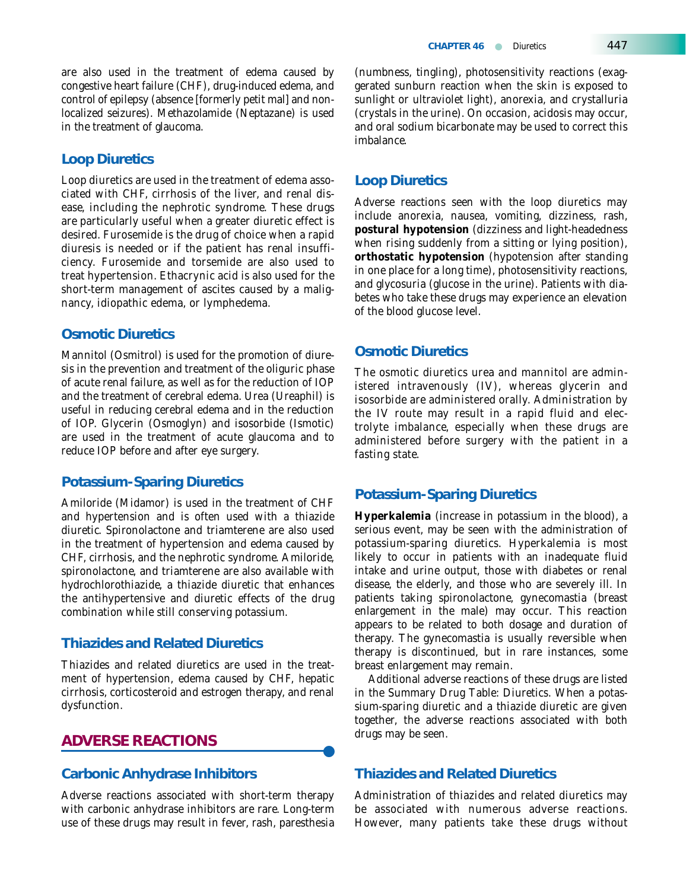are also used in the treatment of edema caused by congestive heart failure (CHF), drug-induced edema, and control of epilepsy (absence [formerly petit mal] and nonlocalized seizures). Methazolamide (Neptazane) is used in the treatment of glaucoma.

## **Loop Diuretics**

Loop diuretics are used in the treatment of edema associated with CHF, cirrhosis of the liver, and renal disease, including the nephrotic syndrome. These drugs are particularly useful when a greater diuretic effect is desired. Furosemide is the drug of choice when a rapid diuresis is needed or if the patient has renal insufficiency. Furosemide and torsemide are also used to treat hypertension. Ethacrynic acid is also used for the short-term management of ascites caused by a malignancy, idiopathic edema, or lymphedema.

### **Osmotic Diuretics**

Mannitol (Osmitrol) is used for the promotion of diuresis in the prevention and treatment of the oliguric phase of acute renal failure, as well as for the reduction of IOP and the treatment of cerebral edema. Urea (Ureaphil) is useful in reducing cerebral edema and in the reduction of IOP. Glycerin (Osmoglyn) and isosorbide (Ismotic) are used in the treatment of acute glaucoma and to reduce IOP before and after eye surgery.

### **Potassium-Sparing Diuretics**

Amiloride (Midamor) is used in the treatment of CHF and hypertension and is often used with a thiazide diuretic. Spironolactone and triamterene are also used in the treatment of hypertension and edema caused by CHF, cirrhosis, and the nephrotic syndrome. Amiloride, spironolactone, and triamterene are also available with hydrochlorothiazide, a thiazide diuretic that enhances the antihypertensive and diuretic effects of the drug combination while still conserving potassium.

# **Thiazides and Related Diuretics**

Thiazides and related diuretics are used in the treatment of hypertension, edema caused by CHF, hepatic cirrhosis, corticosteroid and estrogen therapy, and renal dysfunction.

# **ADVERSE REACTIONS** ●

### **Carbonic Anhydrase Inhibitors**

Adverse reactions associated with short-term therapy with carbonic anhydrase inhibitors are rare. Long-term use of these drugs may result in fever, rash, paresthesia

(numbness, tingling), photosensitivity reactions (exaggerated sunburn reaction when the skin is exposed to sunlight or ultraviolet light), anorexia, and crystalluria (crystals in the urine). On occasion, acidosis may occur, and oral sodium bicarbonate may be used to correct this imbalance.

### **Loop Diuretics**

Adverse reactions seen with the loop diuretics may include anorexia, nausea, vomiting, dizziness, rash, **postural hypotension** (dizziness and light-headedness when rising suddenly from a sitting or lying position), **orthostatic hypotension** (hypotension after standing in one place for a long time), photosensitivity reactions, and glycosuria (glucose in the urine). Patients with diabetes who take these drugs may experience an elevation of the blood glucose level.

# **Osmotic Diuretics**

The osmotic diuretics urea and mannitol are administered intravenously (IV), whereas glycerin and isosorbide are administered orally. Administration by the IV route may result in a rapid fluid and electrolyte imbalance, especially when these drugs are administered before surgery with the patient in a fasting state.

### **Potassium-Sparing Diuretics**

**Hyperkalemia** (increase in potassium in the blood), a serious event, may be seen with the administration of potassium-sparing diuretics. Hyperkalemia is most likely to occur in patients with an inadequate fluid intake and urine output, those with diabetes or renal disease, the elderly, and those who are severely ill. In patients taking spironolactone, gynecomastia (breast enlargement in the male) may occur. This reaction appears to be related to both dosage and duration of therapy. The gynecomastia is usually reversible when therapy is discontinued, but in rare instances, some breast enlargement may remain.

Additional adverse reactions of these drugs are listed in the Summary Drug Table: Diuretics. When a potassium-sparing diuretic and a thiazide diuretic are given together, the adverse reactions associated with both drugs may be seen.

## **Thiazides and Related Diuretics**

Administration of thiazides and related diuretics may be associated with numerous adverse reactions. However, many patients take these drugs without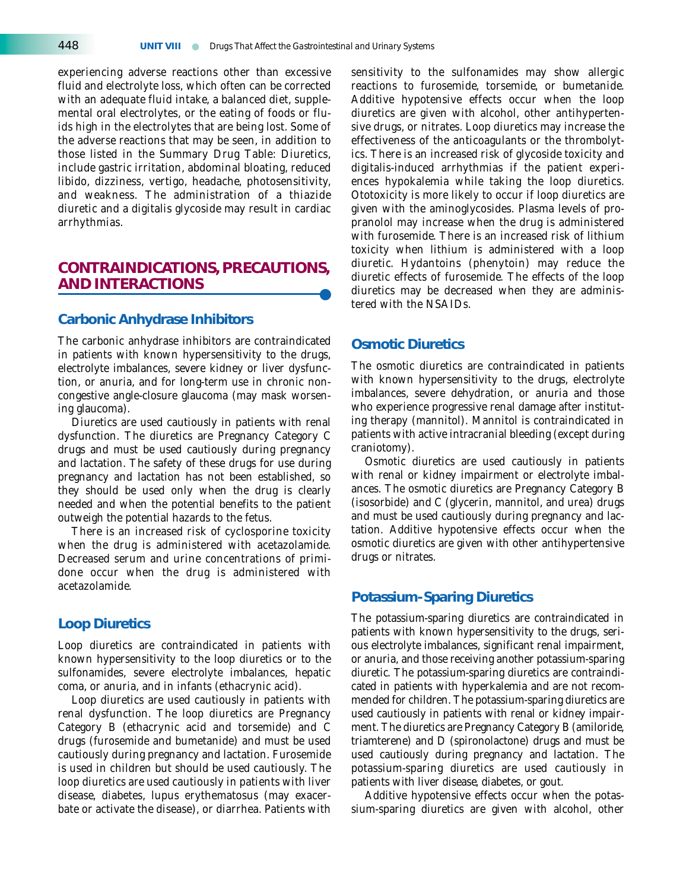experiencing adverse reactions other than excessive fluid and electrolyte loss, which often can be corrected with an adequate fluid intake, a balanced diet, supplemental oral electrolytes, or the eating of foods or fluids high in the electrolytes that are being lost. Some of the adverse reactions that may be seen, in addition to those listed in the Summary Drug Table: Diuretics, include gastric irritation, abdominal bloating, reduced libido, dizziness, vertigo, headache, photosensitivity, and weakness. The administration of a thiazide diuretic and a digitalis glycoside may result in cardiac arrhythmias.

# **CONTRAINDICATIONS, PRECAUTIONS, AND INTERACTIONS** ●

# **Carbonic Anhydrase Inhibitors**

The carbonic anhydrase inhibitors are contraindicated in patients with known hypersensitivity to the drugs, electrolyte imbalances, severe kidney or liver dysfunction, or anuria, and for long-term use in chronic noncongestive angle-closure glaucoma (may mask worsening glaucoma).

Diuretics are used cautiously in patients with renal dysfunction. The diuretics are Pregnancy Category C drugs and must be used cautiously during pregnancy and lactation. The safety of these drugs for use during pregnancy and lactation has not been established, so they should be used only when the drug is clearly needed and when the potential benefits to the patient outweigh the potential hazards to the fetus.

There is an increased risk of cyclosporine toxicity when the drug is administered with acetazolamide. Decreased serum and urine concentrations of primidone occur when the drug is administered with acetazolamide.

## **Loop Diuretics**

Loop diuretics are contraindicated in patients with known hypersensitivity to the loop diuretics or to the sulfonamides, severe electrolyte imbalances, hepatic coma, or anuria, and in infants (ethacrynic acid).

Loop diuretics are used cautiously in patients with renal dysfunction. The loop diuretics are Pregnancy Category B (ethacrynic acid and torsemide) and C drugs (furosemide and bumetanide) and must be used cautiously during pregnancy and lactation. Furosemide is used in children but should be used cautiously. The loop diuretics are used cautiously in patients with liver disease, diabetes, lupus erythematosus (may exacerbate or activate the disease), or diarrhea. Patients with sensitivity to the sulfonamides may show allergic reactions to furosemide, torsemide, or bumetanide. Additive hypotensive effects occur when the loop diuretics are given with alcohol, other antihypertensive drugs, or nitrates. Loop diuretics may increase the effectiveness of the anticoagulants or the thrombolytics. There is an increased risk of glycoside toxicity and digitalis-induced arrhythmias if the patient experiences hypokalemia while taking the loop diuretics. Ototoxicity is more likely to occur if loop diuretics are given with the aminoglycosides. Plasma levels of propranolol may increase when the drug is administered with furosemide. There is an increased risk of lithium toxicity when lithium is administered with a loop diuretic. Hydantoins (phenytoin) may reduce the diuretic effects of furosemide. The effects of the loop diuretics may be decreased when they are administered with the NSAIDs.

# **Osmotic Diuretics**

The osmotic diuretics are contraindicated in patients with known hypersensitivity to the drugs, electrolyte imbalances, severe dehydration, or anuria and those who experience progressive renal damage after instituting therapy (mannitol). Mannitol is contraindicated in patients with active intracranial bleeding (except during craniotomy).

Osmotic diuretics are used cautiously in patients with renal or kidney impairment or electrolyte imbalances. The osmotic diuretics are Pregnancy Category B (isosorbide) and C (glycerin, mannitol, and urea) drugs and must be used cautiously during pregnancy and lactation. Additive hypotensive effects occur when the osmotic diuretics are given with other antihypertensive drugs or nitrates.

### **Potassium-Sparing Diuretics**

The potassium-sparing diuretics are contraindicated in patients with known hypersensitivity to the drugs, serious electrolyte imbalances, significant renal impairment, or anuria, and those receiving another potassium-sparing diuretic. The potassium-sparing diuretics are contraindicated in patients with hyperkalemia and are not recommended for children. The potassium-sparing diuretics are used cautiously in patients with renal or kidney impairment. The diuretics are Pregnancy Category B (amiloride, triamterene) and D (spironolactone) drugs and must be used cautiously during pregnancy and lactation. The potassium-sparing diuretics are used cautiously in patients with liver disease, diabetes, or gout.

Additive hypotensive effects occur when the potassium-sparing diuretics are given with alcohol, other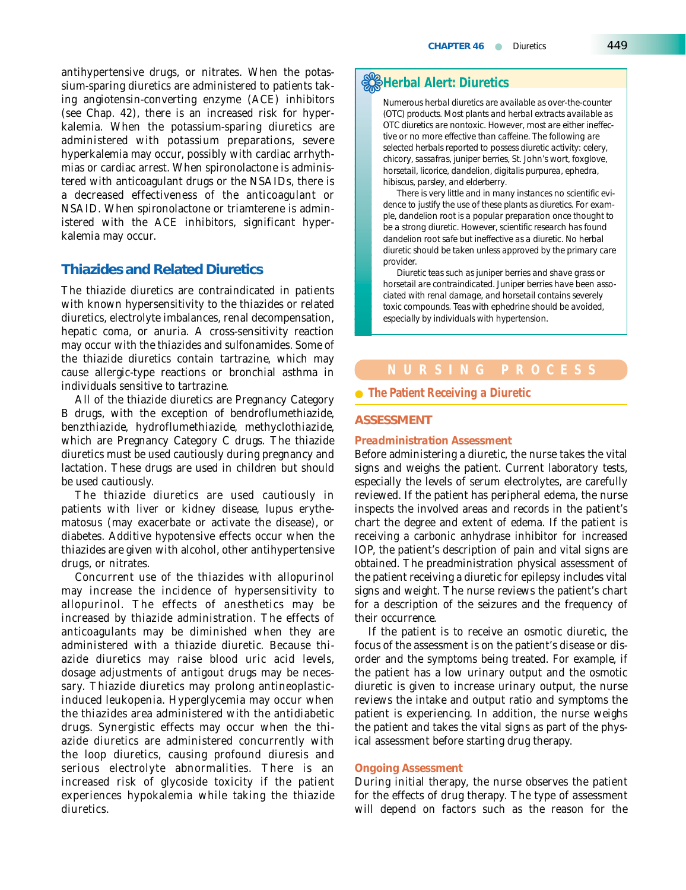antihypertensive drugs, or nitrates. When the potassium-sparing diuretics are administered to patients taking angiotensin-converting enzyme (ACE) inhibitors (see Chap. 42), there is an increased risk for hyperkalemia. When the potassium-sparing diuretics are administered with potassium preparations, severe hyperkalemia may occur, possibly with cardiac arrhythmias or cardiac arrest. When spironolactone is administered with anticoagulant drugs or the NSAIDs, there is a decreased effectiveness of the anticoagulant or NSAID. When spironolactone or triamterene is administered with the ACE inhibitors, significant hyperkalemia may occur.

# **Thiazides and Related Diuretics**

The thiazide diuretics are contraindicated in patients with known hypersensitivity to the thiazides or related diuretics, electrolyte imbalances, renal decompensation, hepatic coma, or anuria. A cross-sensitivity reaction may occur with the thiazides and sulfonamides. Some of the thiazide diuretics contain tartrazine, which may cause allergic-type reactions or bronchial asthma in individuals sensitive to tartrazine.

All of the thiazide diuretics are Pregnancy Category B drugs, with the exception of bendroflumethiazide, benzthiazide, hydroflumethiazide, methyclothiazide, which are Pregnancy Category C drugs. The thiazide diuretics must be used cautiously during pregnancy and lactation. These drugs are used in children but should be used cautiously.

The thiazide diuretics are used cautiously in patients with liver or kidney disease, lupus erythematosus (may exacerbate or activate the disease), or diabetes. Additive hypotensive effects occur when the thiazides are given with alcohol, other antihypertensive drugs, or nitrates.

Concurrent use of the thiazides with allopurinol may increase the incidence of hypersensitivity to allopurinol. The effects of anesthetics may be increased by thiazide administration. The effects of anticoagulants may be diminished when they are administered with a thiazide diuretic. Because thiazide diuretics may raise blood uric acid levels, dosage adjustments of antigout drugs may be necessary. Thiazide diuretics may prolong antineoplasticinduced leukopenia. Hyperglycemia may occur when the thiazides area administered with the antidiabetic drugs. Synergistic effects may occur when the thiazide diuretics are administered concurrently with the loop diuretics, causing profound diuresis and serious electrolyte abnormalities. There is an increased risk of glycoside toxicity if the patient experiences hypokalemia while taking the thiazide diuretics.

# **SCHER ALERTISHS**

*Numerous herbal diuretics are available as over-the-counter (OTC) products. Most plants and herbal extracts available as OTC diuretics are nontoxic. However, most are either ineffective or no more effective than caffeine. The following are selected herbals reported to possess diuretic activity: celery, chicory, sassafras, juniper berries, St. John's wort, foxglove, horsetail, licorice, dandelion, digitalis purpurea, ephedra, hibiscus, parsley, and elderberry.*

*There is very little and in many instances no scientific evidence to justify the use of these plants as diuretics. For example, dandelion root is a popular preparation once thought to be a strong diuretic. However, scientific research has found dandelion root safe but ineffective as a diuretic. No herbal diuretic should be taken unless approved by the primary care provider.* 

*Diuretic teas such as juniper berries and shave grass or horsetail are contraindicated. Juniper berries have been associated with renal damage, and horsetail contains severely toxic compounds. Teas with ephedrine should be avoided, especially by individuals with hypertension.*

### ● **The Patient Receiving a Diuretic**

### **ASSESSMENT**

### *Preadministration Assessment*

Before administering a diuretic, the nurse takes the vital signs and weighs the patient. Current laboratory tests, especially the levels of serum electrolytes, are carefully reviewed. If the patient has peripheral edema, the nurse inspects the involved areas and records in the patient's chart the degree and extent of edema. If the patient is receiving a carbonic anhydrase inhibitor for increased IOP, the patient's description of pain and vital signs are obtained. The preadministration physical assessment of the patient receiving a diuretic for epilepsy includes vital signs and weight. The nurse reviews the patient's chart for a description of the seizures and the frequency of their occurrence.

If the patient is to receive an osmotic diuretic, the focus of the assessment is on the patient's disease or disorder and the symptoms being treated. For example, if the patient has a low urinary output and the osmotic diuretic is given to increase urinary output, the nurse reviews the intake and output ratio and symptoms the patient is experiencing. In addition, the nurse weighs the patient and takes the vital signs as part of the physical assessment before starting drug therapy.

### *Ongoing Assessment*

During initial therapy, the nurse observes the patient for the effects of drug therapy. The type of assessment will depend on factors such as the reason for the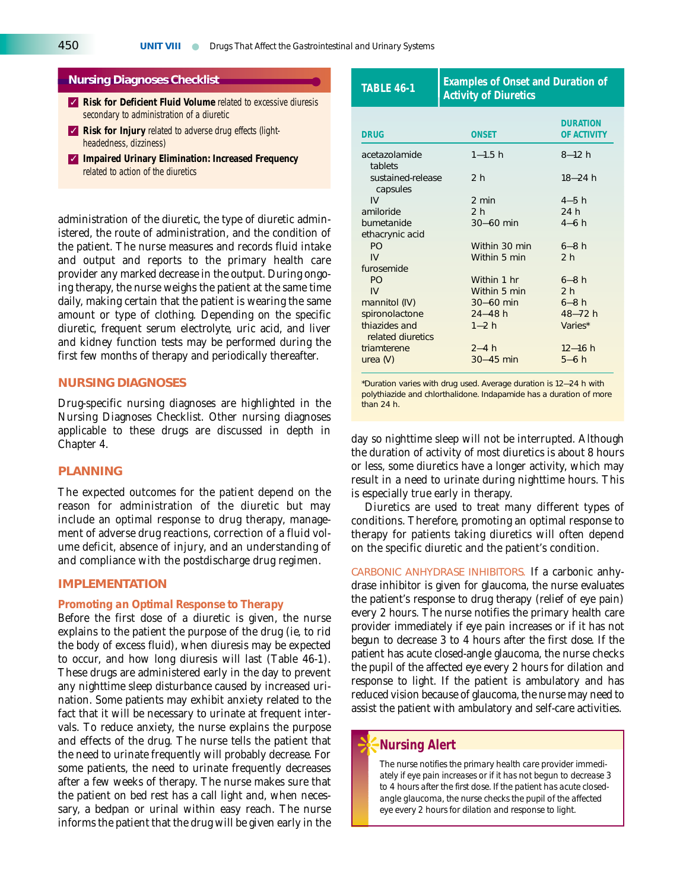### **Nursing Diagnoses Checklist**

- ✓ **Risk for Deficient Fluid Volume** related to excessive diuresis secondary to administration of a diuretic
- ✓ **Risk for Injury** related to adverse drug effects (lightheadedness, dizziness)
- ✓ **Impaired Urinary Elimination: Increased Frequency** related to action of the diuretics

administration of the diuretic, the type of diuretic administered, the route of administration, and the condition of the patient. The nurse measures and records fluid intake and output and reports to the primary health care provider any marked decrease in the output. During ongoing therapy, the nurse weighs the patient at the same time daily, making certain that the patient is wearing the same amount or type of clothing. Depending on the specific diuretic, frequent serum electrolyte, uric acid, and liver and kidney function tests may be performed during the first few months of therapy and periodically thereafter.

### **NURSING DIAGNOSES**

Drug-specific nursing diagnoses are highlighted in the Nursing Diagnoses Checklist. Other nursing diagnoses applicable to these drugs are discussed in depth in Chapter 4.

### **PLANNING**

The expected outcomes for the patient depend on the reason for administration of the diuretic but may include an optimal response to drug therapy, management of adverse drug reactions, correction of a fluid volume deficit, absence of injury, and an understanding of and compliance with the postdischarge drug regimen.

### **IMPLEMENTATION**

### *Promoting an Optimal Response to Therapy*

Before the first dose of a diuretic is given, the nurse explains to the patient the purpose of the drug (ie, to rid the body of excess fluid), when diuresis may be expected to occur, and how long diuresis will last (Table 46-1). These drugs are administered early in the day to prevent any nighttime sleep disturbance caused by increased urination. Some patients may exhibit anxiety related to the fact that it will be necessary to urinate at frequent intervals. To reduce anxiety, the nurse explains the purpose and effects of the drug. The nurse tells the patient that the need to urinate frequently will probably decrease. For some patients, the need to urinate frequently decreases after a few weeks of therapy. The nurse makes sure that the patient on bed rest has a call light and, when necessary, a bedpan or urinal within easy reach. The nurse informs the patient that the drug will be given early in the

| <b>TABLE 46-1</b>                  | <b>Examples of Onset and Duration of</b><br><b>Activity of Diuretics</b> |                                |
|------------------------------------|--------------------------------------------------------------------------|--------------------------------|
| DRUG                               | <b>ONSET</b>                                                             | <b>DURATION</b><br>OF ACTIVITY |
| acetazolamide<br>tablets           | $1 - 1.5$ h                                                              | $8 - 12h$                      |
| sustained-release<br>capsules      | 2 <sub>h</sub>                                                           | $18 - 24$ h                    |
| IV                                 | 2 min                                                                    | $4-5h$                         |
| amiloride                          | 2 <sub>h</sub>                                                           | 24 h                           |
| bumetanide                         | $30 - 60$ min                                                            | $4-6h$                         |
| ethacrynic acid                    |                                                                          |                                |
| PO                                 | Within 30 min                                                            | $6-8h$                         |
| IV                                 | Within 5 min                                                             | 2 <sub>h</sub>                 |
| furosemide                         |                                                                          |                                |
| P <sub>O</sub>                     | Within 1 hr                                                              | $6-8h$                         |
| IV                                 | Within 5 min                                                             | 2 <sub>h</sub>                 |
| mannitol (IV)                      | $30 - 60$ min                                                            | $6-8h$                         |
| spironolactone                     | $24 - 48$ h                                                              | $48 - 72h$                     |
| thiazides and<br>related diuretics | $1 - 2 h$                                                                | Varies*                        |
| triamterene                        | $2-4h$                                                                   | $12 - 16 h$                    |
| urea (V)                           | $30-45$ min                                                              | $5-6h$                         |

\*Duration varies with drug used. Average duration is 12—24 h with polythiazide and chlorthalidone. Indapamide has a duration of more than 24 h.

day so nighttime sleep will not be interrupted. Although the duration of activity of most diuretics is about 8 hours or less, some diuretics have a longer activity, which may result in a need to urinate during nighttime hours. This is especially true early in therapy.

Diuretics are used to treat many different types of conditions. Therefore, promoting an optimal response to therapy for patients taking diuretics will often depend on the specific diuretic and the patient's condition.

CARBONIC ANHYDRASE INHIBITORS. If a carbonic anhydrase inhibitor is given for glaucoma, the nurse evaluates the patient's response to drug therapy (relief of eye pain) every 2 hours. The nurse notifies the primary health care provider immediately if eye pain increases or if it has not begun to decrease 3 to 4 hours after the first dose. If the patient has acute closed-angle glaucoma, the nurse checks the pupil of the affected eye every 2 hours for dilation and response to light. If the patient is ambulatory and has reduced vision because of glaucoma, the nurse may need to assist the patient with ambulatory and self-care activities.

### ❊**Nursing Alert**

*The nurse notifies the primary health care provider immediately if eye pain increases or if it has not begun to decrease 3 to 4 hours after the first dose. If the patient has acute closedangle glaucoma, the nurse checks the pupil of the affected eye every 2 hours for dilation and response to light.*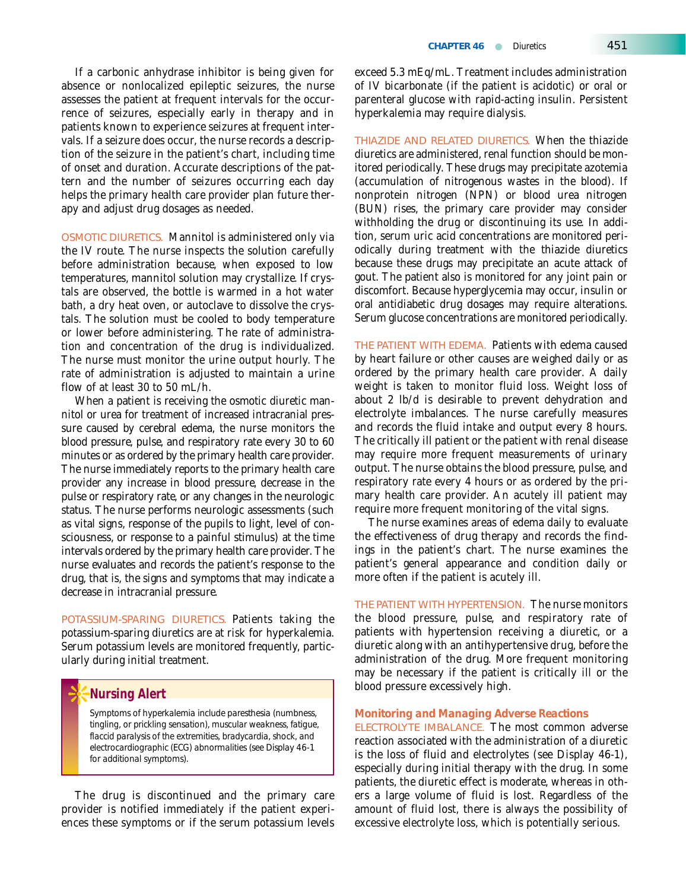If a carbonic anhydrase inhibitor is being given for absence or nonlocalized epileptic seizures, the nurse assesses the patient at frequent intervals for the occurrence of seizures, especially early in therapy and in patients known to experience seizures at frequent intervals. If a seizure does occur, the nurse records a description of the seizure in the patient's chart, including time of onset and duration. Accurate descriptions of the pattern and the number of seizures occurring each day helps the primary health care provider plan future therapy and adjust drug dosages as needed.

OSMOTIC DIURETICS. Mannitol is administered only via the IV route. The nurse inspects the solution carefully before administration because, when exposed to low temperatures, mannitol solution may crystallize. If crystals are observed, the bottle is warmed in a hot water bath, a dry heat oven, or autoclave to dissolve the crystals. The solution must be cooled to body temperature or lower before administering. The rate of administration and concentration of the drug is individualized. The nurse must monitor the urine output hourly. The rate of administration is adjusted to maintain a urine flow of at least 30 to 50 mL/h.

When a patient is receiving the osmotic diuretic mannitol or urea for treatment of increased intracranial pressure caused by cerebral edema, the nurse monitors the blood pressure, pulse, and respiratory rate every 30 to 60 minutes or as ordered by the primary health care provider. The nurse immediately reports to the primary health care provider any increase in blood pressure, decrease in the pulse or respiratory rate, or any changes in the neurologic status. The nurse performs neurologic assessments (such as vital signs, response of the pupils to light, level of consciousness, or response to a painful stimulus) at the time intervals ordered by the primary health care provider. The nurse evaluates and records the patient's response to the drug, that is, the signs and symptoms that may indicate a decrease in intracranial pressure.

POTASSIUM-SPARING DIURETICS. Patients taking the potassium-sparing diuretics are at risk for hyperkalemia. Serum potassium levels are monitored frequently, particularly during initial treatment.

### ❊**Nursing Alert**

*Symptoms of hyperkalemia include paresthesia (numbness, tingling, or prickling sensation), muscular weakness, fatigue, flaccid paralysis of the extremities, bradycardia, shock, and electrocardiographic (ECG) abnormalities (see Display 46-1 for additional symptoms).* 

The drug is discontinued and the primary care provider is notified immediately if the patient experiences these symptoms or if the serum potassium levels exceed 5.3 mEq/mL. Treatment includes administration of IV bicarbonate (if the patient is acidotic) or oral or parenteral glucose with rapid-acting insulin. Persistent hyperkalemia may require dialysis.

THIAZIDE AND RELATED DIURETICS. When the thiazide diuretics are administered, renal function should be monitored periodically. These drugs may precipitate azotemia (accumulation of nitrogenous wastes in the blood). If nonprotein nitrogen (NPN) or blood urea nitrogen (BUN) rises, the primary care provider may consider withholding the drug or discontinuing its use. In addition, serum uric acid concentrations are monitored periodically during treatment with the thiazide diuretics because these drugs may precipitate an acute attack of gout. The patient also is monitored for any joint pain or discomfort. Because hyperglycemia may occur, insulin or oral antidiabetic drug dosages may require alterations. Serum glucose concentrations are monitored periodically.

THE PATIENT WITH EDEMA. Patients with edema caused by heart failure or other causes are weighed daily or as ordered by the primary health care provider. A daily weight is taken to monitor fluid loss. Weight loss of about 2 lb/d is desirable to prevent dehydration and electrolyte imbalances. The nurse carefully measures and records the fluid intake and output every 8 hours. The critically ill patient or the patient with renal disease may require more frequent measurements of urinary output. The nurse obtains the blood pressure, pulse, and respiratory rate every 4 hours or as ordered by the primary health care provider. An acutely ill patient may require more frequent monitoring of the vital signs.

The nurse examines areas of edema daily to evaluate the effectiveness of drug therapy and records the findings in the patient's chart. The nurse examines the patient's general appearance and condition daily or more often if the patient is acutely ill.

THE PATIENT WITH HYPERTENSION. The nurse monitors the blood pressure, pulse, and respiratory rate of patients with hypertension receiving a diuretic, or a diuretic along with an antihypertensive drug, before the administration of the drug. More frequent monitoring may be necessary if the patient is critically ill or the blood pressure excessively high.

### *Monitoring and Managing Adverse Reactions*

ELECTROLYTE IMBALANCE. The most common adverse reaction associated with the administration of a diuretic is the loss of fluid and electrolytes (see Display 46-1), especially during initial therapy with the drug. In some patients, the diuretic effect is moderate, whereas in others a large volume of fluid is lost. Regardless of the amount of fluid lost, there is always the possibility of excessive electrolyte loss, which is potentially serious.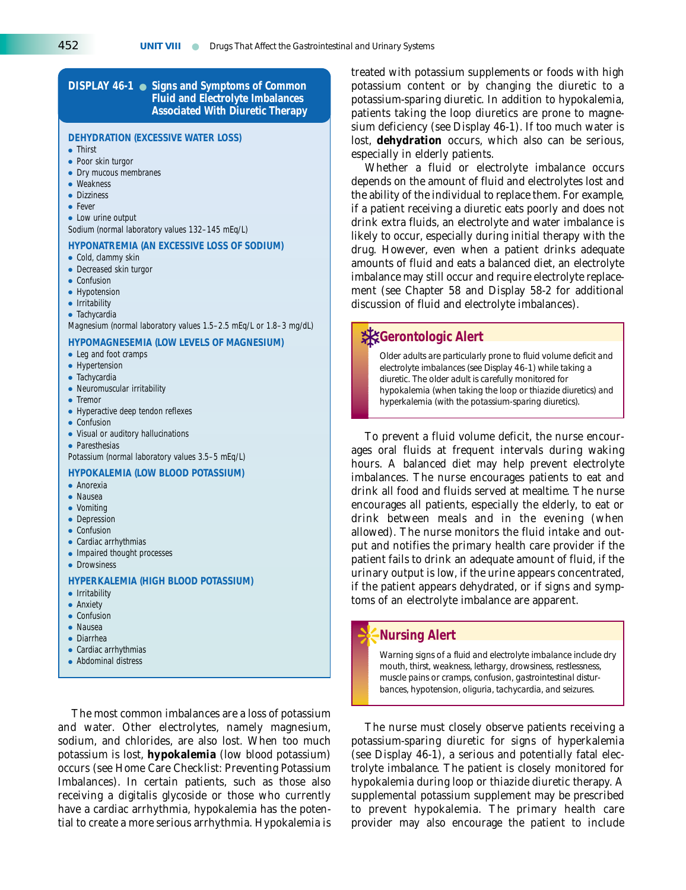### **DISPLAY 46-1** ● **Signs and Symptoms of Common Fluid and Electrolyte Imbalances Associated With Diuretic Therapy**

### **DEHYDRATION (EXCESSIVE WATER LOSS)**

- Thirst
- Poor skin turgor
- Dry mucous membranes
- Weakness
- Dizziness
- Fever
- Low urine output

Sodium (normal laboratory values 132–145 mEq/L)

### **HYPONATREMIA (AN EXCESSIVE LOSS OF SODIUM)**

- Cold, clammy skin
- Decreased skin turgor
- Confusion
- Hypotension
- Irritability
- Tachycardia

Magnesium (normal laboratory values 1.5–2.5 mEq/L or 1.8–3 mg/dL)

### **HYPOMAGNESEMIA (LOW LEVELS OF MAGNESIUM)**

- Leg and foot cramps
- Hypertension
- Tachycardia
- Neuromuscular irritability
- Tremor
- Hyperactive deep tendon reflexes
- Confusion
- Visual or auditory hallucinations
- Paresthesias
- Potassium (normal laboratory values 3.5–5 mEq/L)

### **HYPOKALEMIA (LOW BLOOD POTASSIUM)**

- Anorexia
- Nausea
- Vomiting
- Depression
- Confusion
- Cardiac arrhythmias
- Impaired thought processes
- Drowsiness

### **HYPERKALEMIA (HIGH BLOOD POTASSIUM)**

- Irritability
- Anxiety
- Confusion
- Nausea ● Diarrhea
- 
- Cardiac arrhythmias
- Abdominal distress

The most common imbalances are a loss of potassium and water. Other electrolytes, namely magnesium, sodium, and chlorides, are also lost. When too much potassium is lost, **hypokalemia** (low blood potassium) occurs (see Home Care Checklist: Preventing Potassium Imbalances). In certain patients, such as those also receiving a digitalis glycoside or those who currently have a cardiac arrhythmia, hypokalemia has the potential to create a more serious arrhythmia. Hypokalemia is

treated with potassium supplements or foods with high potassium content or by changing the diuretic to a potassium-sparing diuretic. In addition to hypokalemia, patients taking the loop diuretics are prone to magnesium deficiency (see Display 46-1). If too much water is lost, **dehydration** occurs, which also can be serious, especially in elderly patients.

Whether a fluid or electrolyte imbalance occurs depends on the amount of fluid and electrolytes lost and the ability of the individual to replace them. For example, if a patient receiving a diuretic eats poorly and does not drink extra fluids, an electrolyte and water imbalance is likely to occur, especially during initial therapy with the drug. However, even when a patient drinks adequate amounts of fluid and eats a balanced diet, an electrolyte imbalance may still occur and require electrolyte replacement (see Chapter 58 and Display 58-2 for additional discussion of fluid and electrolyte imbalances).

### ❄**Gerontologic Alert**

*Older adults are particularly prone to fluid volume deficit and electrolyte imbalances (see Display 46-1) while taking a diuretic. The older adult is carefully monitored for hypokalemia (when taking the loop or thiazide diuretics) and hyperkalemia (with the potassium-sparing diuretics).*

To prevent a fluid volume deficit, the nurse encourages oral fluids at frequent intervals during waking hours. A balanced diet may help prevent electrolyte imbalances. The nurse encourages patients to eat and drink all food and fluids served at mealtime. The nurse encourages all patients, especially the elderly, to eat or drink between meals and in the evening (when allowed). The nurse monitors the fluid intake and output and notifies the primary health care provider if the patient fails to drink an adequate amount of fluid, if the urinary output is low, if the urine appears concentrated, if the patient appears dehydrated, or if signs and symptoms of an electrolyte imbalance are apparent.

### ❊**Nursing Alert**

*Warning signs of a fluid and electrolyte imbalance include dry mouth, thirst, weakness, lethargy, drowsiness, restlessness, muscle pains or cramps, confusion, gastrointestinal disturbances, hypotension, oliguria, tachycardia, and seizures.* 

The nurse must closely observe patients receiving a potassium-sparing diuretic for signs of hyperkalemia (see Display 46-1), a serious and potentially fatal electrolyte imbalance. The patient is closely monitored for hypokalemia during loop or thiazide diuretic therapy. A supplemental potassium supplement may be prescribed to prevent hypokalemia. The primary health care provider may also encourage the patient to include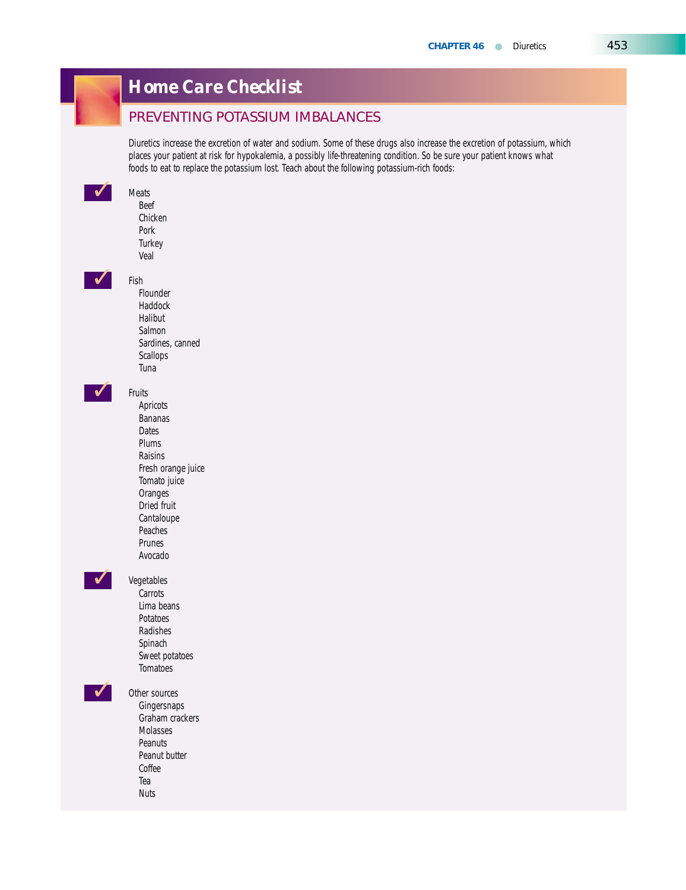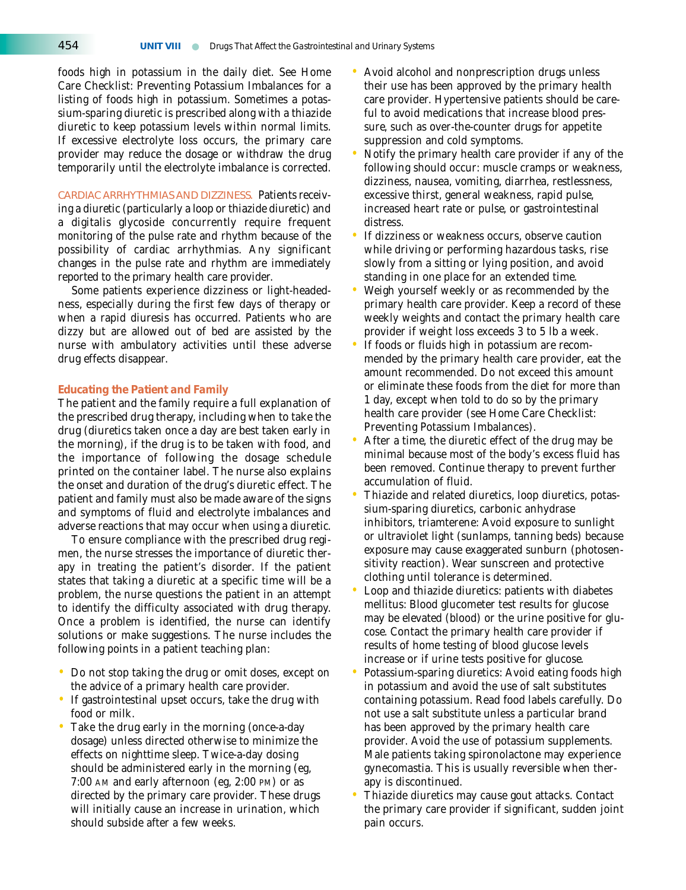foods high in potassium in the daily diet. See Home Care Checklist: Preventing Potassium Imbalances for a listing of foods high in potassium. Sometimes a potassium-sparing diuretic is prescribed along with a thiazide diuretic to keep potassium levels within normal limits. If excessive electrolyte loss occurs, the primary care provider may reduce the dosage or withdraw the drug temporarily until the electrolyte imbalance is corrected.

CARDIAC ARRHYTHMIAS AND DIZZINESS. Patients receiving a diuretic (particularly a loop or thiazide diuretic) and a digitalis glycoside concurrently require frequent monitoring of the pulse rate and rhythm because of the possibility of cardiac arrhythmias. Any significant changes in the pulse rate and rhythm are immediately reported to the primary health care provider.

Some patients experience dizziness or light-headedness, especially during the first few days of therapy or when a rapid diuresis has occurred. Patients who are dizzy but are allowed out of bed are assisted by the nurse with ambulatory activities until these adverse drug effects disappear.

### *Educating the Patient and Family*

The patient and the family require a full explanation of the prescribed drug therapy, including when to take the drug (diuretics taken once a day are best taken early in the morning), if the drug is to be taken with food, and the importance of following the dosage schedule printed on the container label. The nurse also explains the onset and duration of the drug's diuretic effect. The patient and family must also be made aware of the signs and symptoms of fluid and electrolyte imbalances and adverse reactions that may occur when using a diuretic.

To ensure compliance with the prescribed drug regimen, the nurse stresses the importance of diuretic therapy in treating the patient's disorder. If the patient states that taking a diuretic at a specific time will be a problem, the nurse questions the patient in an attempt to identify the difficulty associated with drug therapy. Once a problem is identified, the nurse can identify solutions or make suggestions. The nurse includes the following points in a patient teaching plan:

- Do not stop taking the drug or omit doses, except on the advice of a primary health care provider.
- If gastrointestinal upset occurs, take the drug with food or milk.
- Take the drug early in the morning (once-a-day dosage) unless directed otherwise to minimize the effects on nighttime sleep. Twice-a-day dosing should be administered early in the morning (eg, 7:00 AM and early afternoon (eg, 2:00 PM) or as directed by the primary care provider. These drugs will initially cause an increase in urination, which should subside after a few weeks.
- Avoid alcohol and nonprescription drugs unless their use has been approved by the primary health care provider. Hypertensive patients should be careful to avoid medications that increase blood pressure, such as over-the-counter drugs for appetite suppression and cold symptoms.
- Notify the primary health care provider if any of the following should occur: muscle cramps or weakness, dizziness, nausea, vomiting, diarrhea, restlessness, excessive thirst, general weakness, rapid pulse, increased heart rate or pulse, or gastrointestinal distress.
- If dizziness or weakness occurs, observe caution while driving or performing hazardous tasks, rise slowly from a sitting or lying position, and avoid standing in one place for an extended time.
- Weigh yourself weekly or as recommended by the primary health care provider. Keep a record of these weekly weights and contact the primary health care provider if weight loss exceeds 3 to 5 lb a week.
- If foods or fluids high in potassium are recommended by the primary health care provider, eat the amount recommended. Do not exceed this amount or eliminate these foods from the diet for more than 1 day, except when told to do so by the primary health care provider (see Home Care Checklist: Preventing Potassium Imbalances).
- After a time, the diuretic effect of the drug may be minimal because most of the body's excess fluid has been removed. Continue therapy to prevent further accumulation of fluid.
- Thiazide and related diuretics, loop diuretics, potassium-sparing diuretics, carbonic anhydrase inhibitors, triamterene: Avoid exposure to sunlight or ultraviolet light (sunlamps, tanning beds) because exposure may cause exaggerated sunburn (photosensitivity reaction). Wear sunscreen and protective clothing until tolerance is determined.
- Loop and thiazide diuretics: patients with diabetes mellitus: Blood glucometer test results for glucose may be elevated (blood) or the urine positive for glucose. Contact the primary health care provider if results of home testing of blood glucose levels increase or if urine tests positive for glucose.
- Potassium-sparing diuretics: Avoid eating foods high in potassium and avoid the use of salt substitutes containing potassium. Read food labels carefully. Do not use a salt substitute unless a particular brand has been approved by the primary health care provider. Avoid the use of potassium supplements. Male patients taking spironolactone may experience gynecomastia. This is usually reversible when therapy is discontinued.
- Thiazide diuretics may cause gout attacks. Contact the primary care provider if significant, sudden joint pain occurs.